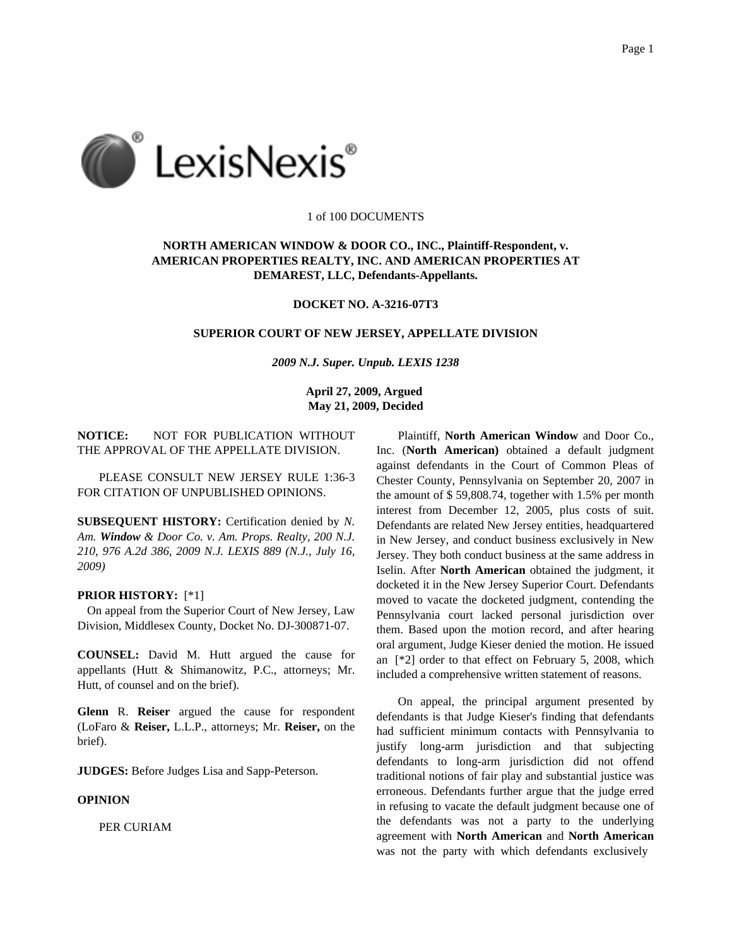

## 1 of 100 DOCUMENTS

# **NORTH AMERICAN WINDOW & DOOR CO., INC., Plaintiff-Respondent, v. AMERICAN PROPERTIES REALTY, INC. AND AMERICAN PROPERTIES AT DEMAREST, LLC, Defendants-Appellants.**

## **DOCKET NO. A-3216-07T3**

#### **SUPERIOR COURT OF NEW JERSEY, APPELLATE DIVISION**

*2009 N.J. Super. Unpub. LEXIS 1238*

**April 27, 2009, Argued May 21, 2009, Decided**

**NOTICE:** NOT FOR PUBLICATION WITHOUT THE APPROVAL OF THE APPELLATE DIVISION.

PLEASE CONSULT NEW JERSEY RULE 1:36-3 FOR CITATION OF UNPUBLISHED OPINIONS.

**SUBSEQUENT HISTORY:** Certification denied by *N. Am. Window & Door Co. v. Am. Props. Realty, 200 N.J. 210, 976 A.2d 386, 2009 N.J. LEXIS 889 (N.J., July 16, 2009)*

#### **PRIOR HISTORY:** [\*1]

On appeal from the Superior Court of New Jersey, Law Division, Middlesex County, Docket No. DJ-300871-07.

**COUNSEL:** David M. Hutt argued the cause for appellants (Hutt & Shimanowitz, P.C., attorneys; Mr. Hutt, of counsel and on the brief).

**Glenn** R. **Reiser** argued the cause for respondent (LoFaro & **Reiser,** L.L.P., attorneys; Mr. **Reiser,** on the brief).

**JUDGES:** Before Judges Lisa and Sapp-Peterson.

#### **OPINION**

PER CURIAM

Plaintiff, **North American Window** and Door Co., Inc. (**North American)** obtained a default judgment against defendants in the Court of Common Pleas of Chester County, Pennsylvania on September 20, 2007 in the amount of \$ 59,808.74, together with 1.5% per month interest from December 12, 2005, plus costs of suit. Defendants are related New Jersey entities, headquartered in New Jersey, and conduct business exclusively in New Jersey. They both conduct business at the same address in Iselin. After **North American** obtained the judgment, it docketed it in the New Jersey Superior Court. Defendants moved to vacate the docketed judgment, contending the Pennsylvania court lacked personal jurisdiction over them. Based upon the motion record, and after hearing oral argument, Judge Kieser denied the motion. He issued an [\*2] order to that effect on February 5, 2008, which included a comprehensive written statement of reasons.

On appeal, the principal argument presented by defendants is that Judge Kieser's finding that defendants had sufficient minimum contacts with Pennsylvania to justify long-arm jurisdiction and that subjecting defendants to long-arm jurisdiction did not offend traditional notions of fair play and substantial justice was erroneous. Defendants further argue that the judge erred in refusing to vacate the default judgment because one of the defendants was not a party to the underlying agreement with **North American** and **North American** was not the party with which defendants exclusively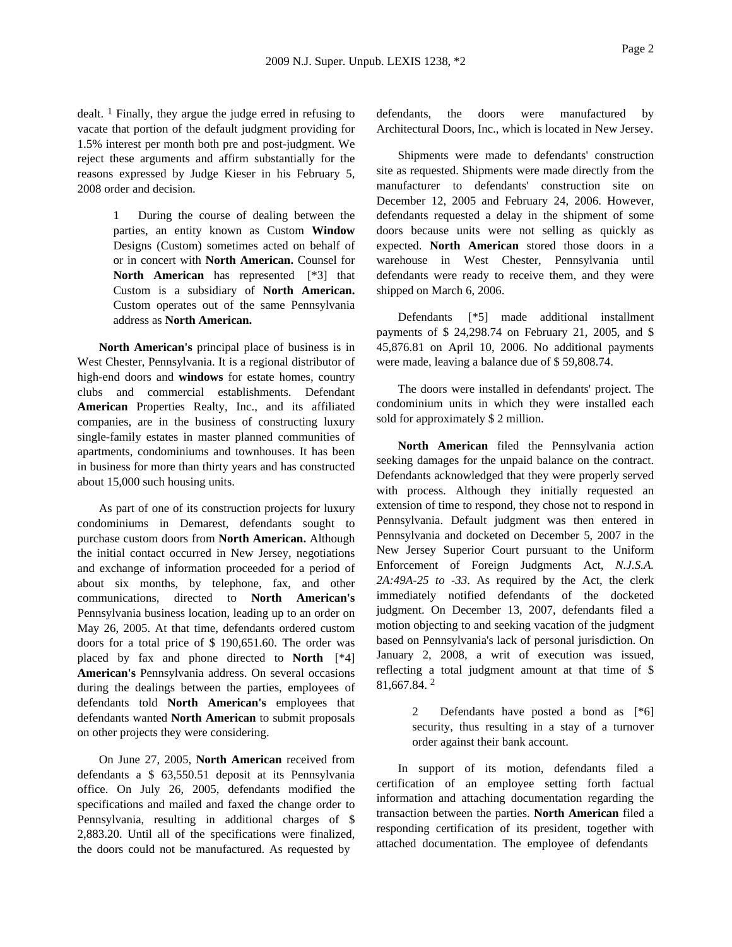dealt.  $\frac{1}{1}$  Finally, they argue the judge erred in refusing to vacate that portion of the default judgment providing for 1.5% interest per month both pre and post-judgment. We reject these arguments and affirm substantially for the reasons expressed by Judge Kieser in his February 5, 2008 order and decision.

> 1 During the course of dealing between the parties, an entity known as Custom **Window** Designs (Custom) sometimes acted on behalf of or in concert with **North American.** Counsel for **North American** has represented [\*3] that Custom is a subsidiary of **North American.** Custom operates out of the same Pennsylvania address as **North American.**

**North American's** principal place of business is in West Chester, Pennsylvania. It is a regional distributor of high-end doors and **windows** for estate homes, country clubs and commercial establishments. Defendant **American** Properties Realty, Inc., and its affiliated companies, are in the business of constructing luxury single-family estates in master planned communities of apartments, condominiums and townhouses. It has been in business for more than thirty years and has constructed about 15,000 such housing units.

As part of one of its construction projects for luxury condominiums in Demarest, defendants sought to purchase custom doors from **North American.** Although the initial contact occurred in New Jersey, negotiations and exchange of information proceeded for a period of about six months, by telephone, fax, and other communications, directed to **North American's** Pennsylvania business location, leading up to an order on May 26, 2005. At that time, defendants ordered custom doors for a total price of \$ 190,651.60. The order was placed by fax and phone directed to **North** [\*4] **American's** Pennsylvania address. On several occasions during the dealings between the parties, employees of defendants told **North American's** employees that defendants wanted **North American** to submit proposals on other projects they were considering.

On June 27, 2005, **North American** received from defendants a \$ 63,550.51 deposit at its Pennsylvania office. On July 26, 2005, defendants modified the specifications and mailed and faxed the change order to Pennsylvania, resulting in additional charges of \$ 2,883.20. Until all of the specifications were finalized, the doors could not be manufactured. As requested by

defendants, the doors were manufactured by Architectural Doors, Inc., which is located in New Jersey.

Shipments were made to defendants' construction site as requested. Shipments were made directly from the manufacturer to defendants' construction site on December 12, 2005 and February 24, 2006. However, defendants requested a delay in the shipment of some doors because units were not selling as quickly as expected. **North American** stored those doors in a warehouse in West Chester, Pennsylvania until defendants were ready to receive them, and they were shipped on March 6, 2006.

Defendants [\*5] made additional installment payments of \$ 24,298.74 on February 21, 2005, and \$ 45,876.81 on April 10, 2006. No additional payments were made, leaving a balance due of \$ 59,808.74.

The doors were installed in defendants' project. The condominium units in which they were installed each sold for approximately \$ 2 million.

**North American** filed the Pennsylvania action seeking damages for the unpaid balance on the contract. Defendants acknowledged that they were properly served with process. Although they initially requested an extension of time to respond, they chose not to respond in Pennsylvania. Default judgment was then entered in Pennsylvania and docketed on December 5, 2007 in the New Jersey Superior Court pursuant to the Uniform Enforcement of Foreign Judgments Act, *N.J.S.A. 2A:49A-25 to -33*. As required by the Act, the clerk immediately notified defendants of the docketed judgment. On December 13, 2007, defendants filed a motion objecting to and seeking vacation of the judgment based on Pennsylvania's lack of personal jurisdiction. On January 2, 2008, a writ of execution was issued, reflecting a total judgment amount at that time of \$ 81,667.84. 2

> 2 Defendants have posted a bond as [\*6] security, thus resulting in a stay of a turnover order against their bank account.

In support of its motion, defendants filed a certification of an employee setting forth factual information and attaching documentation regarding the transaction between the parties. **North American** filed a responding certification of its president, together with attached documentation. The employee of defendants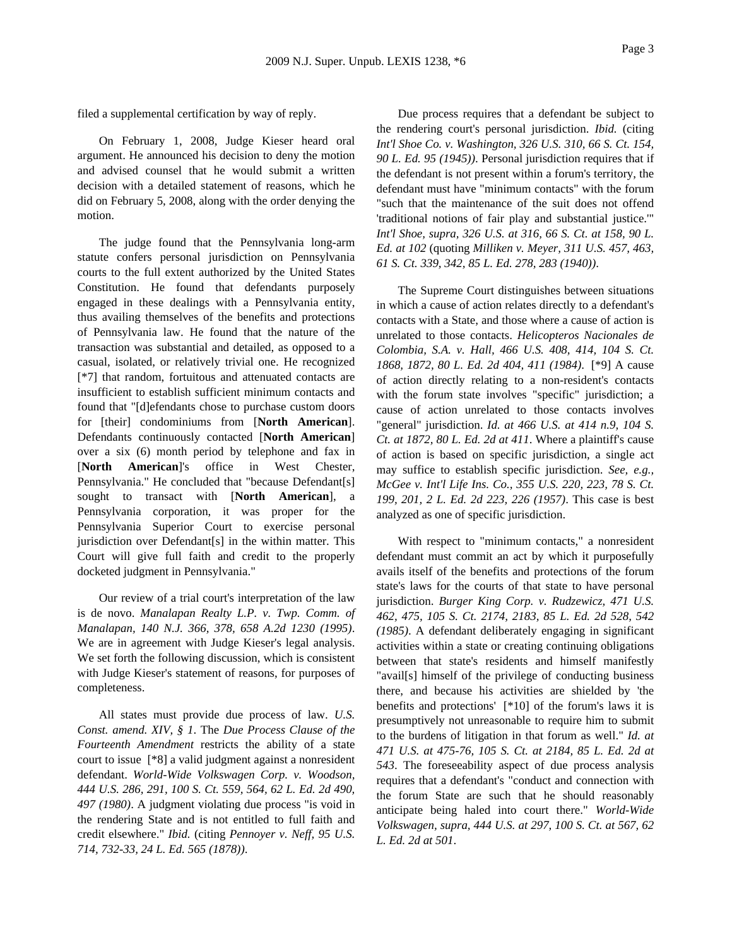filed a supplemental certification by way of reply.

On February 1, 2008, Judge Kieser heard oral argument. He announced his decision to deny the motion and advised counsel that he would submit a written decision with a detailed statement of reasons, which he did on February 5, 2008, along with the order denying the motion.

The judge found that the Pennsylvania long-arm statute confers personal jurisdiction on Pennsylvania courts to the full extent authorized by the United States Constitution. He found that defendants purposely engaged in these dealings with a Pennsylvania entity, thus availing themselves of the benefits and protections of Pennsylvania law. He found that the nature of the transaction was substantial and detailed, as opposed to a casual, isolated, or relatively trivial one. He recognized [\*7] that random, fortuitous and attenuated contacts are insufficient to establish sufficient minimum contacts and found that "[d]efendants chose to purchase custom doors for [their] condominiums from [**North American**]. Defendants continuously contacted [**North American**] over a six (6) month period by telephone and fax in [**North American**]'s office in West Chester, Pennsylvania." He concluded that "because Defendant[s] sought to transact with [**North American**], a Pennsylvania corporation, it was proper for the Pennsylvania Superior Court to exercise personal jurisdiction over Defendant[s] in the within matter. This Court will give full faith and credit to the properly docketed judgment in Pennsylvania."

Our review of a trial court's interpretation of the law is de novo. *Manalapan Realty L.P. v. Twp. Comm. of Manalapan, 140 N.J. 366, 378, 658 A.2d 1230 (1995)*. We are in agreement with Judge Kieser's legal analysis. We set forth the following discussion, which is consistent with Judge Kieser's statement of reasons, for purposes of completeness.

All states must provide due process of law. *U.S. Const. amend. XIV, § 1*. The *Due Process Clause of the Fourteenth Amendment* restricts the ability of a state court to issue [\*8] a valid judgment against a nonresident defendant. *World-Wide Volkswagen Corp. v. Woodson, 444 U.S. 286, 291, 100 S. Ct. 559, 564, 62 L. Ed. 2d 490, 497 (1980)*. A judgment violating due process "is void in the rendering State and is not entitled to full faith and credit elsewhere." *Ibid.* (citing *Pennoyer v. Neff, 95 U.S. 714, 732-33, 24 L. Ed. 565 (1878))*.

Due process requires that a defendant be subject to the rendering court's personal jurisdiction. *Ibid.* (citing *Int'l Shoe Co. v. Washington, 326 U.S. 310, 66 S. Ct. 154, 90 L. Ed. 95 (1945))*. Personal jurisdiction requires that if the defendant is not present within a forum's territory, the defendant must have "minimum contacts" with the forum "such that the maintenance of the suit does not offend 'traditional notions of fair play and substantial justice.'" *Int'l Shoe, supra, 326 U.S. at 316, 66 S. Ct. at 158, 90 L. Ed. at 102* (quoting *Milliken v. Meyer, 311 U.S. 457, 463, 61 S. Ct. 339, 342, 85 L. Ed. 278, 283 (1940))*.

The Supreme Court distinguishes between situations in which a cause of action relates directly to a defendant's contacts with a State, and those where a cause of action is unrelated to those contacts. *Helicopteros Nacionales de Colombia, S.A. v. Hall, 466 U.S. 408, 414, 104 S. Ct. 1868, 1872, 80 L. Ed. 2d 404, 411 (1984)*. [\*9] A cause of action directly relating to a non-resident's contacts with the forum state involves "specific" jurisdiction; a cause of action unrelated to those contacts involves "general" jurisdiction. *Id. at 466 U.S. at 414 n.9, 104 S. Ct. at 1872, 80 L. Ed. 2d at 411*. Where a plaintiff's cause of action is based on specific jurisdiction, a single act may suffice to establish specific jurisdiction. *See, e.g., McGee v. Int'l Life Ins. Co., 355 U.S. 220, 223, 78 S. Ct. 199, 201, 2 L. Ed. 2d 223, 226 (1957)*. This case is best analyzed as one of specific jurisdiction.

With respect to "minimum contacts," a nonresident defendant must commit an act by which it purposefully avails itself of the benefits and protections of the forum state's laws for the courts of that state to have personal jurisdiction. *Burger King Corp. v. Rudzewicz, 471 U.S. 462, 475, 105 S. Ct. 2174, 2183, 85 L. Ed. 2d 528, 542 (1985)*. A defendant deliberately engaging in significant activities within a state or creating continuing obligations between that state's residents and himself manifestly "avail[s] himself of the privilege of conducting business there, and because his activities are shielded by 'the benefits and protections' [\*10] of the forum's laws it is presumptively not unreasonable to require him to submit to the burdens of litigation in that forum as well." *Id. at 471 U.S. at 475-76, 105 S. Ct. at 2184, 85 L. Ed. 2d at 543*. The foreseeability aspect of due process analysis requires that a defendant's "conduct and connection with the forum State are such that he should reasonably anticipate being haled into court there." *World-Wide Volkswagen, supra, 444 U.S. at 297, 100 S. Ct. at 567, 62 L. Ed. 2d at 501*.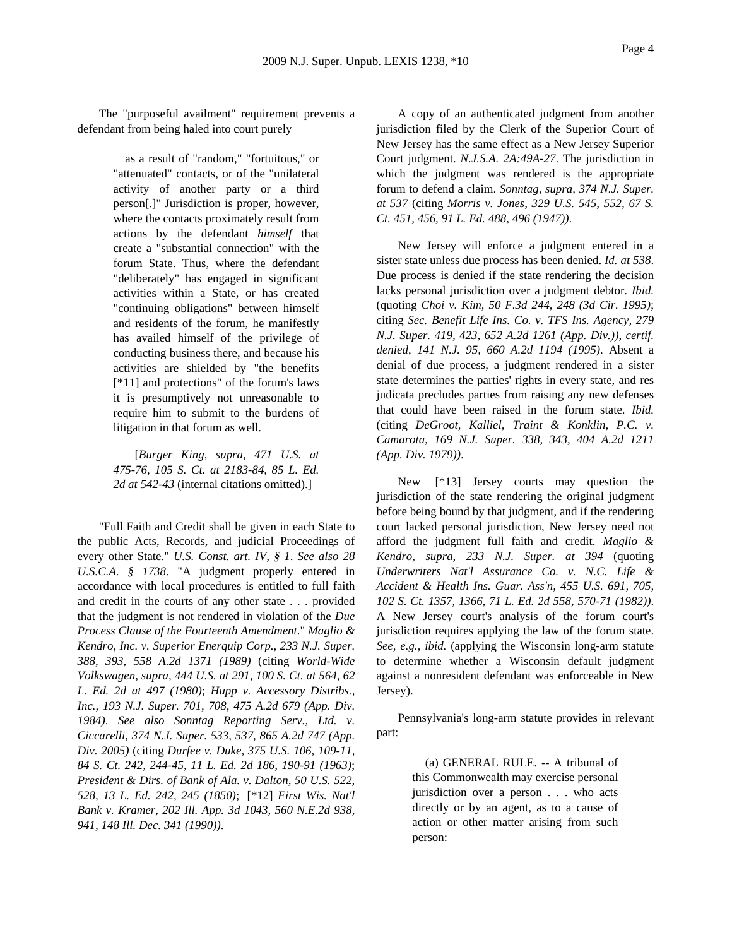The "purposeful availment" requirement prevents a defendant from being haled into court purely

> as a result of "random," "fortuitous," or "attenuated" contacts, or of the "unilateral activity of another party or a third person[.]" Jurisdiction is proper, however, where the contacts proximately result from actions by the defendant *himself* that create a "substantial connection" with the forum State. Thus, where the defendant "deliberately" has engaged in significant activities within a State, or has created "continuing obligations" between himself and residents of the forum, he manifestly has availed himself of the privilege of conducting business there, and because his activities are shielded by "the benefits [\*11] and protections" of the forum's laws it is presumptively not unreasonable to require him to submit to the burdens of litigation in that forum as well.

[*Burger King, supra, 471 U.S. at 475-76, 105 S. Ct. at 2183-84, 85 L. Ed. 2d at 542-43* (internal citations omitted).]

"Full Faith and Credit shall be given in each State to the public Acts, Records, and judicial Proceedings of every other State." *U.S. Const. art. IV, § 1*. *See also 28 U.S.C.A. § 1738*. "A judgment properly entered in accordance with local procedures is entitled to full faith and credit in the courts of any other state . . . provided that the judgment is not rendered in violation of the *Due Process Clause of the Fourteenth Amendment*." *Maglio & Kendro, Inc. v. Superior Enerquip Corp., 233 N.J. Super. 388, 393, 558 A.2d 1371 (1989)* (citing *World-Wide Volkswagen, supra, 444 U.S. at 291, 100 S. Ct. at 564, 62 L. Ed. 2d at 497 (1980)*; *Hupp v. Accessory Distribs., Inc., 193 N.J. Super. 701, 708, 475 A.2d 679 (App. Div. 1984)*. *See also Sonntag Reporting Serv., Ltd. v. Ciccarelli, 374 N.J. Super. 533, 537, 865 A.2d 747 (App. Div. 2005)* (citing *Durfee v. Duke, 375 U.S. 106, 109-11, 84 S. Ct. 242, 244-45, 11 L. Ed. 2d 186, 190-91 (1963)*; *President & Dirs. of Bank of Ala. v. Dalton, 50 U.S. 522, 528, 13 L. Ed. 242, 245 (1850)*; [\*12] *First Wis. Nat'l Bank v. Kramer, 202 Ill. App. 3d 1043, 560 N.E.2d 938, 941, 148 Ill. Dec. 341 (1990))*.

A copy of an authenticated judgment from another jurisdiction filed by the Clerk of the Superior Court of New Jersey has the same effect as a New Jersey Superior Court judgment. *N.J.S.A. 2A:49A-27*. The jurisdiction in which the judgment was rendered is the appropriate forum to defend a claim. *Sonntag, supra, 374 N.J. Super. at 537* (citing *Morris v. Jones, 329 U.S. 545, 552, 67 S. Ct. 451, 456, 91 L. Ed. 488, 496 (1947))*.

New Jersey will enforce a judgment entered in a sister state unless due process has been denied. *Id. at 538*. Due process is denied if the state rendering the decision lacks personal jurisdiction over a judgment debtor. *Ibid.* (quoting *Choi v. Kim, 50 F.3d 244, 248 (3d Cir. 1995)*; citing *Sec. Benefit Life Ins. Co. v. TFS Ins. Agency, 279 N.J. Super. 419, 423, 652 A.2d 1261 (App. Div.))*, *certif. denied*, *141 N.J. 95, 660 A.2d 1194 (1995)*. Absent a denial of due process, a judgment rendered in a sister state determines the parties' rights in every state, and res judicata precludes parties from raising any new defenses that could have been raised in the forum state. *Ibid.* (citing *DeGroot, Kalliel, Traint & Konklin, P.C. v. Camarota, 169 N.J. Super. 338, 343, 404 A.2d 1211 (App. Div. 1979))*.

New [\*13] Jersey courts may question the jurisdiction of the state rendering the original judgment before being bound by that judgment, and if the rendering court lacked personal jurisdiction, New Jersey need not afford the judgment full faith and credit. *Maglio & Kendro, supra, 233 N.J. Super. at 394* (quoting *Underwriters Nat'l Assurance Co. v. N.C. Life & Accident & Health Ins. Guar. Ass'n, 455 U.S. 691, 705, 102 S. Ct. 1357, 1366, 71 L. Ed. 2d 558, 570-71 (1982))*. A New Jersey court's analysis of the forum court's jurisdiction requires applying the law of the forum state. *See, e.g., ibid.* (applying the Wisconsin long-arm statute to determine whether a Wisconsin default judgment against a nonresident defendant was enforceable in New Jersey).

Pennsylvania's long-arm statute provides in relevant part:

> (a) GENERAL RULE. -- A tribunal of this Commonwealth may exercise personal jurisdiction over a person . . . who acts directly or by an agent, as to a cause of action or other matter arising from such person: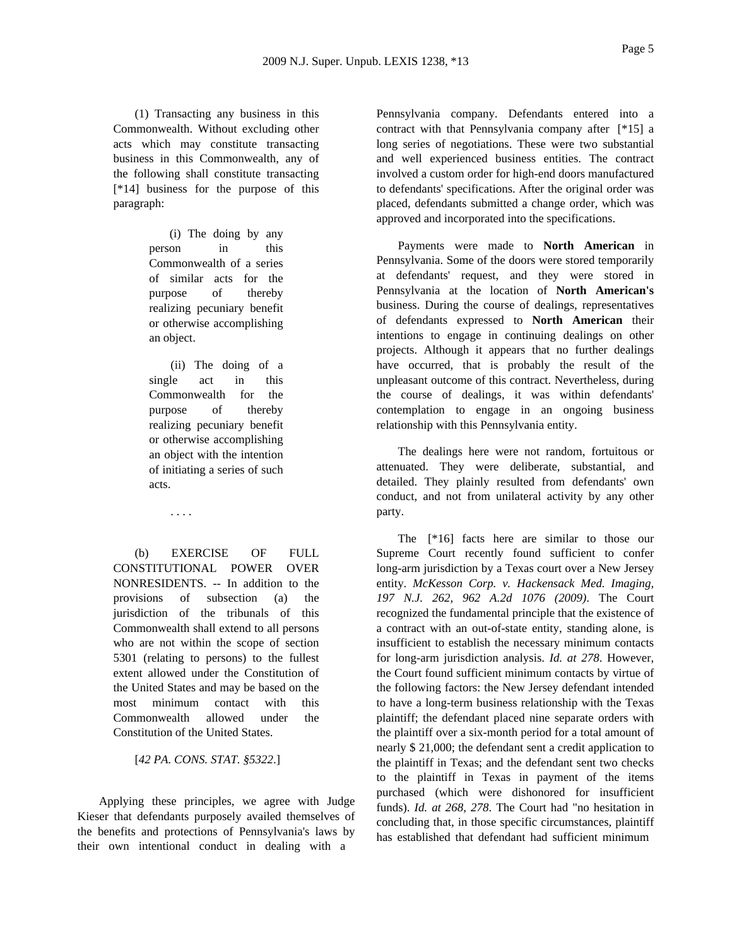(1) Transacting any business in this Commonwealth. Without excluding other acts which may constitute transacting business in this Commonwealth, any of the following shall constitute transacting [\*14] business for the purpose of this paragraph:

> (i) The doing by any person in this Commonwealth of a series of similar acts for the purpose of thereby realizing pecuniary benefit or otherwise accomplishing an object.

(ii) The doing of a single act in this Commonwealth for the purpose of thereby realizing pecuniary benefit or otherwise accomplishing an object with the intention of initiating a series of such acts.

. . . .

(b) EXERCISE OF FULL CONSTITUTIONAL POWER OVER NONRESIDENTS. -- In addition to the provisions of subsection (a) the jurisdiction of the tribunals of this Commonwealth shall extend to all persons who are not within the scope of section 5301 (relating to persons) to the fullest extent allowed under the Constitution of the United States and may be based on the most minimum contact with this Commonwealth allowed under the Constitution of the United States.

[*42 PA. CONS. STAT. §5322*.]

Applying these principles, we agree with Judge Kieser that defendants purposely availed themselves of the benefits and protections of Pennsylvania's laws by their own intentional conduct in dealing with a

Pennsylvania company. Defendants entered into a contract with that Pennsylvania company after [\*15] a long series of negotiations. These were two substantial and well experienced business entities. The contract involved a custom order for high-end doors manufactured to defendants' specifications. After the original order was placed, defendants submitted a change order, which was approved and incorporated into the specifications.

Payments were made to **North American** in Pennsylvania. Some of the doors were stored temporarily at defendants' request, and they were stored in Pennsylvania at the location of **North American's** business. During the course of dealings, representatives of defendants expressed to **North American** their intentions to engage in continuing dealings on other projects. Although it appears that no further dealings have occurred, that is probably the result of the unpleasant outcome of this contract. Nevertheless, during the course of dealings, it was within defendants' contemplation to engage in an ongoing business relationship with this Pennsylvania entity.

The dealings here were not random, fortuitous or attenuated. They were deliberate, substantial, and detailed. They plainly resulted from defendants' own conduct, and not from unilateral activity by any other party.

The [\*16] facts here are similar to those our Supreme Court recently found sufficient to confer long-arm jurisdiction by a Texas court over a New Jersey entity. *McKesson Corp. v. Hackensack Med. Imaging, 197 N.J. 262, 962 A.2d 1076 (2009)*. The Court recognized the fundamental principle that the existence of a contract with an out-of-state entity, standing alone, is insufficient to establish the necessary minimum contacts for long-arm jurisdiction analysis. *Id. at 278*. However, the Court found sufficient minimum contacts by virtue of the following factors: the New Jersey defendant intended to have a long-term business relationship with the Texas plaintiff; the defendant placed nine separate orders with the plaintiff over a six-month period for a total amount of nearly \$ 21,000; the defendant sent a credit application to the plaintiff in Texas; and the defendant sent two checks to the plaintiff in Texas in payment of the items purchased (which were dishonored for insufficient funds). *Id. at 268, 278*. The Court had "no hesitation in concluding that, in those specific circumstances, plaintiff has established that defendant had sufficient minimum